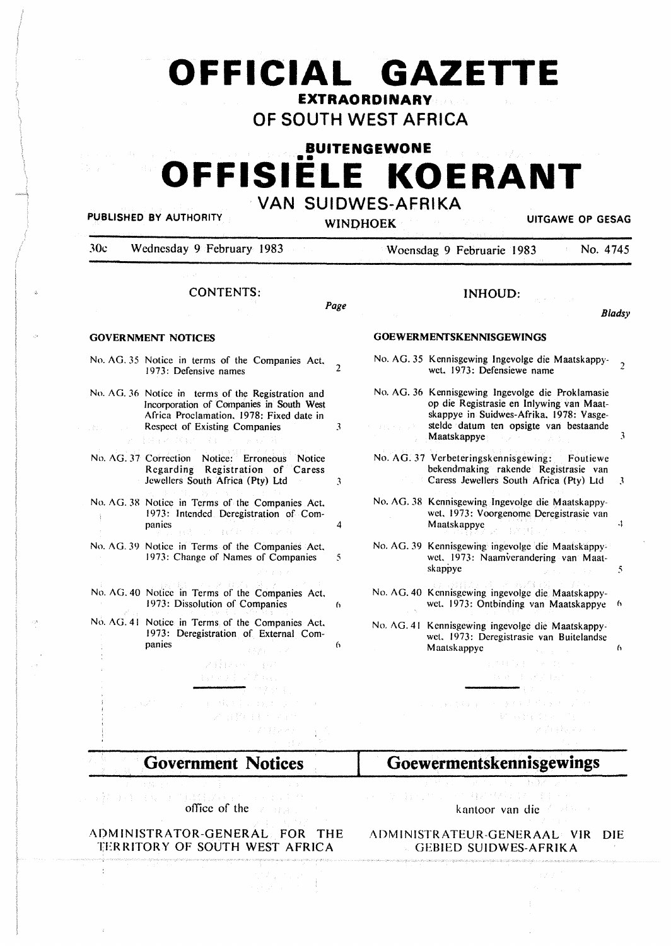# **OFFICIAL GAZETTE EXTRAORDINARY**

**OF SOUTH WEST AFRICA** 

# **BUITENGEWONE COFFISIELE KOERANT VAN SUIDWES-AFRIKA**

PUBLISHED BY AUTHORITY **WINDHOGHT WINDHOGHT WINDHOGHT UITGAWE OP GESAG** 

| <b>CONTENTS:</b><br><b>GOVERNMENT NOTICES</b>                                                                                                                                                | Page           | <b>INHOUD:</b>                                                                                                                                                                                                                |  |  |
|----------------------------------------------------------------------------------------------------------------------------------------------------------------------------------------------|----------------|-------------------------------------------------------------------------------------------------------------------------------------------------------------------------------------------------------------------------------|--|--|
|                                                                                                                                                                                              |                | Bladsy                                                                                                                                                                                                                        |  |  |
|                                                                                                                                                                                              |                | <b>GOEWERMENTSKENNISGEWINGS</b>                                                                                                                                                                                               |  |  |
| No. AG. 35 Notice in terms of the Companies Act,<br>1973: Defensive names                                                                                                                    | $\overline{c}$ | No. AG. 35 Kennisgewing Ingevolge die Maatskappy-<br>$\mathcal{P}$<br>wet, 1973: Defensiewe name                                                                                                                              |  |  |
| No. AG. 36 Notice in terms of the Registration and<br>Incorporation of Companies in South West<br>Africa Proclamation, 1978: Fixed date in<br>Respect of Existing Companies<br>とちょう じくしゃ しょし | 3              | No. AG. 36 Kennisgewing Ingevolge die Proklamasie<br>op die Registrasie en Inlywing van Maat-<br>skappye in Suidwes-Afrika, 1978: Vasge-<br>stelde datum ten opsigte van bestaande<br>3<br>Maatskappye                        |  |  |
| No. AG. 37 Correction Notice: Erroneous Notice<br>Regarding Registration of Caress<br>Jewellers South Africa (Pty) Ltd                                                                       | 3              | No. AG. 37 Verbeteringskennisgewing:<br>Foutiewe<br>bekendmaking rakende Registrasie van<br>Caress Jewellers South Africa (Pty) Ltd<br>3                                                                                      |  |  |
| No. AG. 38 Notice in Terms of the Companies Act,<br>1973: Intended Deregistration of Com-<br>panies                                                                                          | 4              | No. AG. 38 Kennisgewing Ingevolge die Maatskappy-<br>wet. 1973: Voorgenome Deregistrasie van<br>4<br>Maatskappye                                                                                                              |  |  |
| No. AG. 39 Notice in Terms of the Companies Act,<br>1973: Change of Names of Companies                                                                                                       | 5              | No. AG. 39 Kennisgewing ingevolge die Maatskappy-<br>wet. 1973: Naamverandering van Maat-<br>skappye<br>5                                                                                                                     |  |  |
| No. AG. 40 Notice in Terms of the Companies Act,<br>1973: Dissolution of Companies                                                                                                           | 6              | No. AG. 40 Kennisgewing ingevolge die Maatskappy-<br>wet. 1973: Ontbinding van Maatskappye<br>6                                                                                                                               |  |  |
| No. AG. 41 Notice in Terms of the Companies Act,<br>1973: Deregistration of External Com-<br>panies                                                                                          | 6              | No. AG. 41 Kennisgewing ingevolge die Maatskappy-<br>wet. 1973: Deregistrasie van Buitelandse<br>Maatskappye<br>6                                                                                                             |  |  |
| Visine en la ce<br>(这些关于同时的)。                                                                                                                                                                |                | 子の特徴 おとび かいり<br>经银行 医心桥<br>第149                                                                                                                                                                                               |  |  |
| 电子移动 医交叉性皮炎<br>医白细胞 生毛 化学生物                                                                                                                                                                  |                | $\  \phi \ _{L^2(\Omega)} \lesssim \ \phi\ _{L^2(\Omega)} \lesssim \ \phi\ _{L^2(\Omega)} \lesssim \ \phi\ _{L^2(\Omega)} \lesssim \ \phi\ _{L^2(\Omega)} \lesssim \ \phi\ _{L^2(\Omega)}.$<br>Design from<br>ka Kabupatèn Ba |  |  |

**Government Notices** 

的复数医细胞 医胸下肌

 $\frac{1}{2}$ 

# office of the

.<br>באיניבר בריטי המאוד המוסיקה בין המוסיקה האופן המוסיקה האופן האופן המוסיקה ב

÷

# **Al)MINISTRATOR-GENERAL FOR THE**  ADMINISTRATEUR-GENERAAL VJR DIE **TERRITORY OF SOUTH WEST AFRICA**

kantoor van die

医大静脉 体积过敏 计自动

# GEBIED SUIDWES-AFRJKA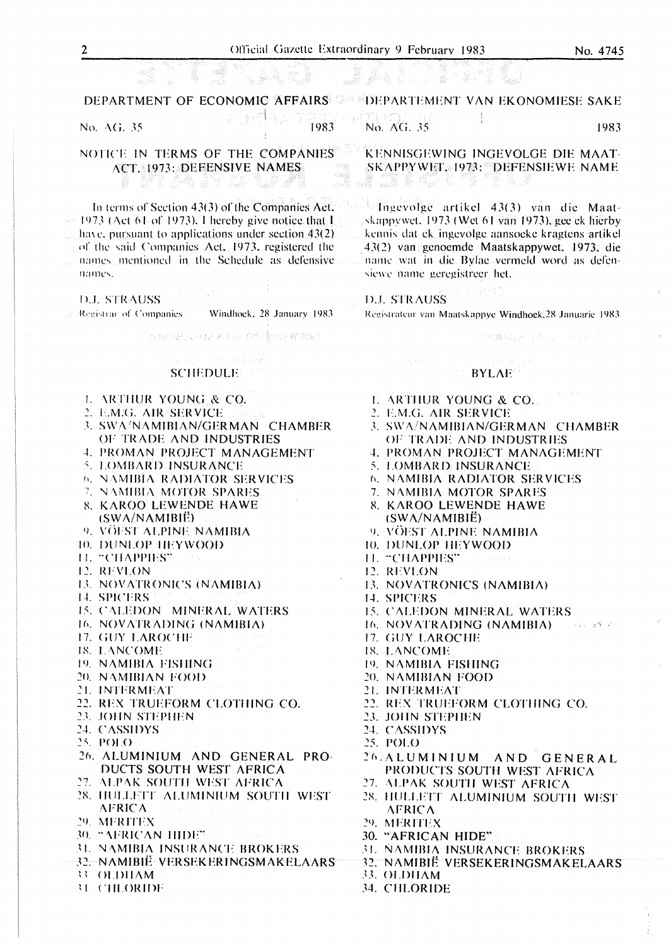1983

DEPARTMENT OF ECONOMIC AFFAIRS STEPHARTEMENT VAN EKONOMIESE SAKE

No. AG, 35

1983

NOTICE IN TERMS OF THE COMPANIES ACT. 1973: DEFENSIVE NAMES

Y cal

anda a din Andi.

たいばなん

.<br>Se

 $\sim 10^7$ 

s stronger

In terms of Section 43(3) of the Companies Act,  $\rightarrow$  1973 (Act 61 of 1973). I hereby give notice that I have, pursuant to applications under section  $43(2)$ and the said Companies Act, 1973, registered the names mentioned in the Schedule as defensive names.

**D.J. STRAUSS** 

Registrar of Companies Windhock, 28 January 1983

医异性发展 经经济利益 医中性骨折

# **SCHEDULE**

- **L. ARTHUR YOUNG & CO.**
- 2. E.M.G. AIR SERVICE
- **3. SWA/NAMIBIAN/GERMAN CHAMBER** OF TRADE AND INDUSTRIES
- **4. PROMAN PROJECT MANAGEMENT**
- 5. LOMBARD INSURANCE
- **6. NAMIBIA RADIATOR SERVICES**
- 7. NAMIBIA MOTOR SPARES
- **8. KAROO LEWENDE HAWE**
- $(SWA/NAMIBI\ddot{E})$
- 9. VÖEST ALPINE NAMIBIA
- **10. DUNLOP HEYWOOD**
- **TE "CHAPPIES"** 12. REVLON
- 
- 13. NOVATRONICS (NAMIBIA)
- 14. SPICERS
- 15. CALEDON MINERAL WATERS
- 16. NOVATRADING (NAMIBIA)
- 17. GUY LAROCHE
- 18. LANCOME
- 19. NAMIBIA FISHING
- 20. NAMIBIAN FOOD
- 21. INTERMEAT
- 22. REX TRUEFORM CLOTHING CO.
- 23. JOHN STEPHEN
- 24. CASSIDYS
- 25. POLO
- 26. ALUMINIUM AND GENERAL PRO-DUCTS SOUTH WEST AFRICA
- 27. ALPAK SOUTH WEST AFRICA
- 28. HULLETT ALUMINIUM SOUTH WEST **AFRICA**
- 29. MERITEX
- 30. "AFRICAN HIDE"
- **31. NAMIBIA INSURANCE BROKERS**
- 32. NAMIBIË VERSEKERINGSMAKELAARS
- 33. OLDHAM
- **31. CHLORIDE**

SKAPPYWET. 1973: "DEFENSIEWE NAME e in eta e

skappywet, 1973 (Wet 61 van 1973), gee ek hierby kennis dat ek ingevolge aansoeke kragtens artikel 43(2) van genoemde Maatskappywet, 1973. die name wat in die Bylae vermeld word as defensiewe name geregistreer het.

#### **D.J. STRAUSS**

Registrateur van Maatskappye Windhoek,28 Januarie 1983

全国調整を取ることを求め、このなどの意

#### **BYLAE**

- L. ARTHUR YOUNG & CO.
- 2. E.M.G. AIR SERVICE
- 3. SWA/NAMIBIAN/GERMAN CHAMBER OF TRADE AND INDUSTRIES
- **4. PROMAN PROJECT MANAGEMENT**
- 5. LOMBARD INSURANCE
- **6. NAMIBIA RADIATOR SERVICES**
- 7. NAMIBIA MOTOR SPARES
- 8. KAROO LEWENDE HAWE  $(SWA/NAMIBIÉ)$
- 9. VÖEST ALPINE NAMIBIA
- 10. DUNLOP HEYWOOD
- 11. "CHAPPIES"
- 12. REVLON
- 13. NOVATRONICS (NAMIBIA)
- 14. SPICERS
- 15. CALEDON MINERAL WATERS
- 16. NOVATRADING (NAMIBIA) **SELLING ST**
- 17. GUY LAROCHE
- 18. LANCOME
- 19. NAMIBIA FISHING
- 20. NAMIBIAN FOOD
- 21. INTERMEAT
- 22. REX TRUEFORM CLOTHING CO.
- 23. JOHN STEPHEN
- 24. CASSIDYS
- 25. POLO
- 26. ALUMINIUM AND GENERAL PRODUCTS SOUTH WEST AFRICA
- 27. ALPAK SOUTH WEST AFRICA
- 28. HULLETT ALUMINIUM SOUTH WEST **AFRICA**
- 29. MERITEX
- 30. "AFRICAN HIDE"
- 31. NAMIBIA INSURANCE BROKERS
- 32. NAMIBIË VERSEKERINGSMAKELAARS
- 33. OLDHAM
- 34. CHLORIDE

 $\overline{2}$ 

No. AG. 35

"桑椹"是心。 "桑

KENNISGEWING INGEVOLGE DIE MAAT-

Ingevolge artikel 43(3) van die Maat-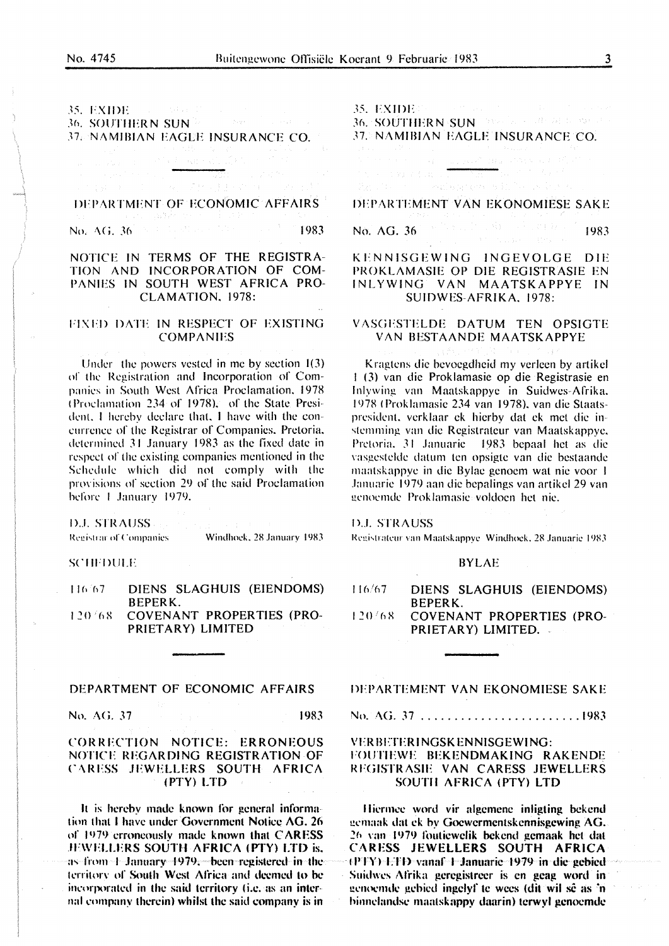# 35. EXIDE: **36. SOUTHERN SUN<sup>3</sup>** 37. NAMIBIAN EAGLE INSURANCE CO.

# DEPARTMENT OF ECONOMIC AFFAIRS

No. AG,  $36$  ,  $8\times10^{12}$  and  $8\times10^{12}$  and  $10^{12}$ 1983

# NOTICE IN TERMS OF THE REGISTRA-TION AND INCORPORATION OF COM-PANIES IN SOUTH WEST AFRICA PRO-CLAMATION, 1978:

#### FIXED DATE IN RESPECT OF EXISTING **COMPANIES**

Under the powers vested in me by section 1(3) of the Registration and Incorporation of Companies in South West Africa Proclamation, 1978 (Proclamation 234 of 1978), of the State President, I hereby declare that, I have with the concurrence of the Registrar of Companies, Pretoria, determined 31 January 1983 as the fixed date in respect of the existing companies mentioned in the Schedule which did not comply with the provisions of section 29 of the said Proclamation before 1 January 1979.

D.J. STRAUSS

Registrar of Companies

Windhock, 28 January 1983

1983

#### **SCHEDULE**

DIENS SLAGHUIS (EIENDOMS) 116.67 **BEPERK.**  $120/68$ COVENANT PROPERTIES (PRO-PRIETARY) LIMITED

## DEPARTMENT OF ECONOMIC AFFAIRS

No. AG. 37

## CORRECTION NOTICE: ERRONEOUS NOTICE REGARDING REGISTRATION OF CARESS JEWELLERS SOUTH AFRICA (PTY) LTD

It is hereby made known for general information that I have under Government Notice AG. 26 of 1979 erroneously made known that CARESS JEWELLERS SOUTH AFRICA (PTY) LTD is, as from 1 January 1979, been registered in the territory of South West Africa and deemed to be incorporated in the said territory (i.e. as an internal company therein) whilst the said company is in

35. EXIDENTIFICATION

36. SOUTHERN SUN AND COMPANY OF **37. NAMIBIAN EAGLE INSURANCE CO.** 

# Condensation of Elfornia in

DEPARTEMENT VAN EKONOMIESE SAKE

 $186 - 151$  and  $5$ No. AG. 36 1983

# KENNISGEWING INGEVOLGE DIE PROKLAMASIE OP DIE REGISTRASIE EN INLYWING VAN MAATSKAPPYE IN SUIDWES-AFRIKA. 1978:

#### VASGESTELDE DATUM TEN OPSIGTE VAN BESTAANDE MAATSKAPPYE

Kragtens die bevoegdheid my verleen by artikel 1 (3) van die Proklamasie op die Registrasie en Inlywing van Maatskappye in Suidwes-Afrika. 1978 (Proklamasie 234 van 1978), van die Staatspresident, verklaar ek hierby dat ek met die instemming van die Registrateur van Maatskappye, Pretoria, 31 Januarie 1983 bepaal het as die vasgestelde datum ten opsigte van die bestaande maatskappye in die Bylae genoem wat nie voor 1 Januarie 1979 aan die bepalings van artikel 29 van genoemde Proklamasie voldoen het nie.

# **D.J. STRAUSS**

Registrateur van Maatskappve Windhoek, 28 Januarie 1983

#### **BYLAE**

- $116/67$ DIENS SLAGHUIS (EIENDOMS) **BEPERK.**
- 120/68 **COVENANT PROPERTIES (PRO-**PRIETARY) LIMITED.

DEPARTEMENT VAN EKONOMIESE SAKE

No. AG. 37 ..........................1983

### **VERBETERINGSKENNISGEWING:** FOUTIEWE BEKENDMAKING RAKENDE REGISTRASIE VAN CARESS JEWELLERS SOUTH AFRICA (PTY) LTD

Hiermee word vir algemene inligting bekend gemaak dat ek by Goewermentskennisgewing AG. 26 van 1979 foutiewelik bekend gemaak het dat CARESS JEWELLERS SOUTH AFRICA (PTY) ETD vanaf 1 Januarie 1979 in die gebied Suidwes Afrika geregistreer is en geag word in genoemde gebied ingelyf te wees (dit wil sê as 'n binnelandse maatskappy daarin) terwyl genoemde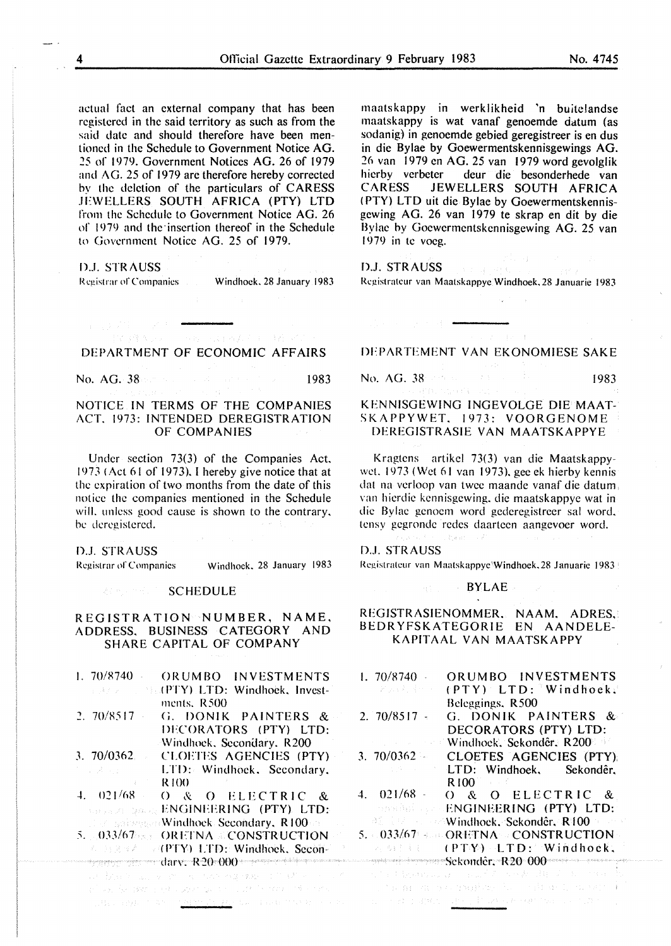actual fact an external company that has been registered in the said territory as such as from the said date and should therefore have been mentioned in the Schedule to Government Notice AG. ::!5 of 1979. Government Notices AG. 26 of 1979 and AG. 25 of 1979 are therefore hereby corrected hy the deletion of the particulars of CARESS JEWELLERS SOUTH AFRICA (PTY) LTD from the Schedule to Government Notice AG. 26 or 1979 and the·insertion thereof in the Schedule to Government Notice AG. 25 of 1979.

#### DJ. STRAUSS

Registrar of Companies Windhoek, 28 January 1983

# Professor was dead to be a DEPARTMENT OF ECONOMIC AFFAIRS

No. AG. 38 **1983 No. 4 20 1983** 

# NOTICE IN TERMS OF THE COMPANIES ACT. 1973: INTENDED DEREGISTRATION OF COMPANIES

Under section 73(3) of the Companies Act. 1973 (Act 61 of 1973). I hereby give notice that at the expiration of two months from the date of this notice the companies mentioned in the Schedule will, unless good cause is shown to the contrary, be deregistered.

#### D.J. STRAUSS

Registrar of Companies Windhoek, 28 January 1983

#### SCHEDULE

# REGISTRATION NUMBER, NAME, ADDRESS. BUSINESS CATEGORY AND SHARE CAPITAL OF COMPANY

| $1.70/8740 -$                   | ORUMBO INVESTMENTS                                                                                             |
|---------------------------------|----------------------------------------------------------------------------------------------------------------|
|                                 | <b>EXAMPLE STACKTY) LTD: Windhoek, Invest-</b>                                                                 |
|                                 | ments. R500                                                                                                    |
| 2.70/8517                       | G. DONIK PAINTERS &                                                                                            |
|                                 | DECORATORS (PTY) LTD:                                                                                          |
|                                 | Windhock, Secondary, R200                                                                                      |
| 3.70/0362                       | CLOETES AGENCIES (PTY)                                                                                         |
| المستورية الأرادية              | LTD: Windhock, Secondary,                                                                                      |
| the control of the state of the | R 100                                                                                                          |
| 4.021/68                        | O & O ELECTRIC &                                                                                               |
|                                 | <b><i>CONSTRUCTION ENGINEERING (PTY). LTD:</i></b>                                                             |
|                                 | <b>Example:</b> Windhock: Secondary, R100                                                                      |
|                                 | 5. 033/67 and ORETNA acconstruction                                                                            |
|                                 | <b><i>C. B.R. (PTY)</i></b> LTD: Windhoek, Secon-                                                              |
|                                 |                                                                                                                |
|                                 | 1. 机载波 医白细胞 医心理学 化二硫酸盐 化苯甲酸盐 医阿尔斯特氏病 医心包                                                                       |
|                                 | 10 The Adventure 10 The Adventure 10 The Adventure 10 The Adventure 10 The Adventure 10 The Adventure 10 The A |

ings for 1981 in the number on the cost for states  $\Delta\mu$  , and<br>a trivial construction of  $\Delta$  -1.419.5

maatskappy in werklikheid 'n buitclandse maatskappy is wat vanaf genoemde datum (as sodanig) in genoemde gebied geregistreer is en dus in die Bylae by Goewermentskennisgewings AG. 26 van 1979 en AG. 25 van 1979 word gevolglik hierby verbeter deur die besonderhede van CARESS JEWELLERS SOUTH AFRICA JEWELLERS SOUTH AFRICA ( PTY) LTD uit die Bylae by Goewermentskennisgcwing AG. 26 van 1979 te skrap en dit by die Bylae by Gocwermentskennisgewing AG. 25 van 1979 in te voeg.

# D.J. STRAUSS

 $\label{eq:1.1} \begin{split} \mathcal{L}_{\mathcal{D}}^{\mathcal{D}}(\mathcal{A}) & = \mathcal{L}_{\mathcal{D}}^{\mathcal{D}}(\mathcal{A}) \cdot \mathcal{A}_{\mathcal{D}}^{\mathcal{D}}(\mathcal{A}) \end{split}$ 

Rcgistratcur van Maatskappyc Windhoek.28 Januarie 1983

DFPARTEMENT VAN EKONOMIESE SAKE

No. AG. 38 1983 1983 1983

# KFNNISGEWING INGEVOLGE DIE MAAT-SK A PPYWET. 1973: VOORGENOME DEREGISTRASIE VAN MAATSKAPPYE

Kragtens artikel 73(3) van die Maatskappywct. 1973 (Wet 61 van 1973). gee ek hierby kennis dat na verloop van twee maande vanaf die datum. van hierdie kcnnisgewing. die maatskappye wat in die Bylae genoem word gedercgistreer sal word. tensy gegronde redes daarteen aangevoer word.

#### DJ. STRAUSS

Registrateur van Maatskappye'Windhoek, 28 Januarie 1983

#### BYLAE

Point of

### REGISTRASIENOMMER. NAAM. ADRES, BEDRYFSKATEGORIE EN AANDELE-KAPITAAL VAN MAATSKAPPY

| 1.70/8740            | ORUMBO INVESTMENTS                                      |
|----------------------|---------------------------------------------------------|
| 计环面调查 建叶叶            | (PTY) LTD: Windhoek.                                    |
|                      | Beleggings, R500                                        |
| 2. $70/8517 -$       | G. DONIK PAINTERS &                                     |
|                      | DECORATORS (PTY) LTD:                                   |
| state of the company | <b>Example 18 Windhock, Sekondêr, R200 and Windhock</b> |
| $3.70/0362 -$        | CLOETES AGENCIES (PTY);                                 |
| 医感觉 医心包的             | LTD: Windhoek, Sekondêr,                                |
|                      | R100                                                    |
| $4.021/68 -$         | O & O ELECTRIC &                                        |
|                      | <b>EXECUTE: ENGINEERING (PTY) LTD:</b>                  |
|                      | <b><i>All Elizabeth Windhoek, Sekondêr, R100</i></b>    |
|                      | $5. < 033/67$ and ORETNA of CONSTRUCTION                |
|                      | <b>ABILIC (PTY) LTD: Windhoek,</b>                      |
|                      | $Sekonter. R20-000$ and $\sim$                          |
|                      | 医无子宫 经运输信息 医三氯化乙基 医牙囊 同期 医二氧二乙基氯                        |
|                      | o, the man and complete the condition is control. The   |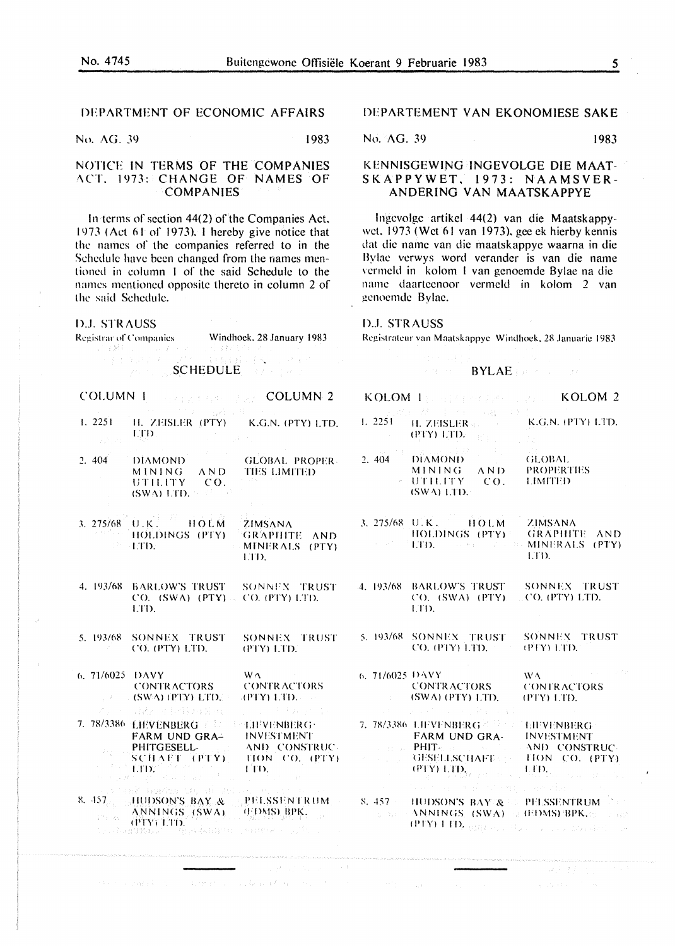#### 5

# DEPARTMENT OF ECONOMIC AFFAIRS

No. AG. 39 1983

# NOTICE IN TERMS OF THE COMPANIES ACT, 1973: CHANGE OF NAMES OF **COMPANIES**

In terms of section 44(2) of the Companies Act. 1973 (Act 61 of 1973). I hereby give notice that the names of the companies referred to in the Schedule have been changed from the names mentioned in column 1 of the said Schedule to the names mentioned opposite thereto in column 2 of the said Schedule.

**D.J. STRAUSS** 

Registrar of Companies

Windhoek, 28 January 1983

COLUMN<sub>1</sub> **COLUMN 2** 

**SCHEDULE Example** 

- $1.2251$ H. ZEISLER (PTY) K.G.N. (PTY) LTI **LTD**
- $2.404$ **DIAMOND GLOBAL PROPER**  $\triangle N$ D **MINING TIES LIMITED UTILITY**  $CO.$ (SWA) LTD.
- 3. 275/68 U.K. HOLM ZIMSANA HOLDINGS (PTY) **GRAPHITE ANI** ·ETD. MINERALS (PTY **ETD.**
- 4. 193/68 BARLOW'S TRUST SONNEX TRUST  $CO.$  (SWA) (PTY) CO. (PTY) LTD. LTD.
- 5. 193/68 SONNEX TRUST SONNEX TRUS CO. (PTY) LTD. (PTY) LTD.
- 6.71/6025 DAVY  $W\Lambda$ **CONTRACTORS CONTRACTORS** (SWA) (PTY) LTD. **APTY) LTD.** 日夜 日日得月日 7. 78/3386 LH/VENBERG / 0 **E-THEVENBERG:**
- **INVESTMENT** FARM UND GRA-PHITGESELL-AND CONSTRUC SCHAFT (PTY) TION CO. (PTY **TITIE** -FID-
- 8. 457 HUDSON'S BAY & **PELSSENTRUM** ANNINGS (SWA) (FDMS) BPK. **The Ra** (PTY) LTD. i - Lêseb<mark>î</mark>s
	-
	- -
	- control of a short to pro- $\sim 100$

# DEPARTEMENT VAN EKONOMIESE SAKE

No. AG. 39 1983

# KENNISGEWING INGEVOLGE DIE MAAT-SKAPPYWET, 1973: NAAMSVER-ANDERING VAN MAATSKAPPYE

Ingevolge artikel 44(2) van die Maatskappywet. 1973 (Wet 61 van 1973), gee ek hierby kennis dat die name van die maatskappye waarna in die Bylae verwys word verander is van die name vermeld in kolom I van genoemde Bylae na die name daarteenoor vermeld in kolom 2 van genoemde Bylac.

#### **D.J. STRAUSS**

Registrateur van Maatskappye Windhoek, 28 Januarie 1983

#### **BYLAE**

|                    |                   | KOLOM $\langle 1 \rangle$ and $\langle 2 \rangle$ and $\langle 2 \rangle$ and $\langle 3 \rangle$ KOLOM 2                                                                                                                                                                                                                                                                                                                                           |                                                                                                                                                                                                                                                                                                                                                                                                                               |
|--------------------|-------------------|-----------------------------------------------------------------------------------------------------------------------------------------------------------------------------------------------------------------------------------------------------------------------------------------------------------------------------------------------------------------------------------------------------------------------------------------------------|-------------------------------------------------------------------------------------------------------------------------------------------------------------------------------------------------------------------------------------------------------------------------------------------------------------------------------------------------------------------------------------------------------------------------------|
| $\mathcal{L}$      | <b>Contractor</b> | (PTY) LTD. $\mathbb{E}[\mathbf{F}^{\top} \mathbf{D}]$                                                                                                                                                                                                                                                                                                                                                                                               |                                                                                                                                                                                                                                                                                                                                                                                                                               |
| Ų.                 | 2.404             | DIAMOND GLOBAL<br>MINING AND PROPERTIES<br>- UTILITY CO. LIMITED<br>$(SWA)$ LTD.                                                                                                                                                                                                                                                                                                                                                                    |                                                                                                                                                                                                                                                                                                                                                                                                                               |
| $\mathbf{z}$<br>Ĩ, |                   | 3. 275/68 U.K. HOLM ZIMSANA<br><b>HOLDINGS (PTY)</b> GRAPHITE AND<br>LTD. The Second By MINERALS (PTY)                                                                                                                                                                                                                                                                                                                                              | ETD.                                                                                                                                                                                                                                                                                                                                                                                                                          |
| È                  |                   | 4. 193/68 BARLOW'S TRUST SONNEX TRUST<br>CO. (SWA) (PTY). CO. (PTY) LTD.<br>LTD.                                                                                                                                                                                                                                                                                                                                                                    |                                                                                                                                                                                                                                                                                                                                                                                                                               |
|                    |                   | <b>F</b> 5.193/68 SONNEX TRUST SONNEX TRUST<br>CO. (PTY) LTD. (PTY) LTD.                                                                                                                                                                                                                                                                                                                                                                            |                                                                                                                                                                                                                                                                                                                                                                                                                               |
|                    |                   | 6. 71/6025 DAVY<br>CONTRACTORS CONTRACTORS<br>$\therefore$ (SWA) (PTY) LTD, $(PTY)$ LTD,<br>しゅちょう えいさい スーパンと あまるい                                                                                                                                                                                                                                                                                                                                   | $\langle \mathbf{W}\mathbf{A}\rangle = -\langle \mathbf{W}\rangle \langle \mathbf{W}\rangle = -\langle \mathbf{W}\rangle \langle \mathbf{W}\rangle$                                                                                                                                                                                                                                                                           |
|                    |                   | 7. 78/3386 LIFVENBERG 2 February Energy<br>FARM UND GRA- INVESTMENT                                                                                                                                                                                                                                                                                                                                                                                 |                                                                                                                                                                                                                                                                                                                                                                                                                               |
| $^{\prime}$ ).     |                   | <b>CONSTRUCT PHITE BELLEVILLE AND CONSTRUCT</b><br><b>GESELLSCHAFT: HON CO. (PTY)</b><br>se in the consent of consentation of the                                                                                                                                                                                                                                                                                                                   | $\mathbf{C}\mathbf{P}\mathbf{P}\mathbf{Y}\mathbf{Y}=\mathbf{I}_{\text{c},\text{c},\text{c}}\mathbf{I}_{\text{c},\text{c}}\mathbf{I}_{\text{c},\text{c}}\mathbf{I}_{\text{c},\text{c}}\mathbf{I}_{\text{c},\text{c}}\mathbf{I}_{\text{c},\text{c},\text{c}}\mathbf{I}_{\text{c},\text{c},\text{c},\text{c}}\mathbf{I}_{\text{c},\text{c},\text{c},\text{c}}\mathbf{I}_{\text{c},\text{c},\text{c},\text{c},\text{c}}\mathbf{I$ |
|                    |                   | <b>SECURE 2018 SERVICE SERVICE PELSSENTRUM</b> Company of the Security of the Security of the Security of the Security of the Security of the Security of the Security of the Security of the Security of the Security of the Secur<br>$\sim$ 2.1 ANNINGS, (SWA) of (EDMS) BPK.rg and get<br>(PTY) T $\mathbf{ID}_{\mathcal{C}(\mathcal{V}(\mathcal{T} \mathcal{F})) \times \mathcal{F}(\mathcal{T} \mathcal{F}))}$ and the extent of $\mathcal{C}$ |                                                                                                                                                                                                                                                                                                                                                                                                                               |

マスマスト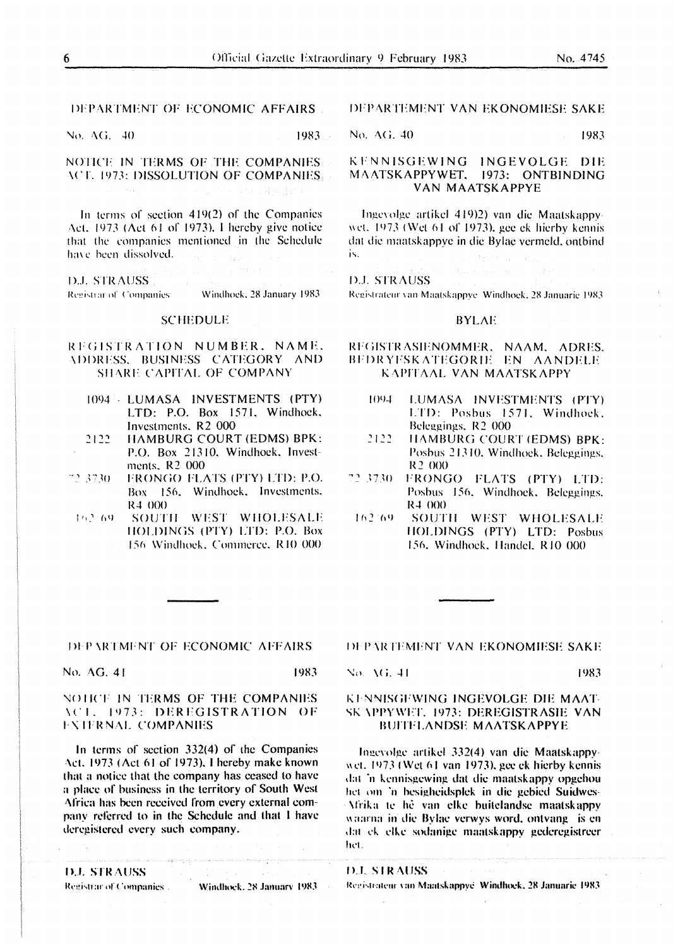# DEPARTMENT OF ECONOMIC AFFAIRS

No. AG, 40 1983.

# NOTICE IN TERMS OF THE COMPANIES ACE, 1973: DISSOLUTION OF COMPANIES D. M. West Ter

In terms of section  $419(2)$  of the Companies Act. 1973 ( $\Delta ct$  61 of 1973). I hereby give notice that the companies mentioned in the Schedule have been dissolved. Thus

**D.J. STRAUSS** Registrar of Companies Windhoek, 28 January 1983

### SCHEDULF

# REGISTRATION NUMBER. NAME. \l>l>RFSS. BUSINESS CATEGORY AND SHARE CAPITAL OF COMPANY

- 1094 LUMASA INVESTMENTS (PTY) LTD: P.O. Box 1571. Windhoek. Investments. R2 000
- 2122 HAMBURG COURT (EDMS) BPK: P.O. Box 21310. Windhoek. Investments. R2 000
- ·•' *3·:30* 1-"RON(iO FLATS ( PTY) I.TD: P.O. Box 156. Windhoek. Investments. R4 000
- 162:69 SOUTH WEST WHOLESALE IIOLDINGS (PTY) LTD: P.O. Box 156 Windhoek, Commerce, R10 000

# **DEPARTEMENT VAN EKONOMIESE SAKE**

No. AG, 40 1983

# KENNISGEWING INGEVOLGE DIE M/\ATSKAPPYWET. 1973: ONTBINDING VAN MAATSKAPPYE

Ingevolge artikel 419)2) van die Maatskappywet. 1973 (Wet 61 of 1973), gee ck hierby kennis dat die maatskappye in die Bylae vermeld, ontbind is.

#### D.J. STRAUSS

Registrateur van Maatskappye Windhoek, 28 Januarie 1983

# **BYLAE**

#### REGISTR ASIENOMMER, NAAM, ADRES. BFDRYFSKATEGORIE EN AANDELE K APITAAL VAN MAATSK APPY

- 1094 LUMASA INVESTMENTS (PTY) LTD: Posbus 1571. Windhoek. Beleggings, R<sub>2</sub> 000
- 2122 IIAMBURG COURT (EDMS) BPK: Posbus 21310. Windhoek. Bclcggings. R2 000
- ~' ~ no !-"RONGO FLATS ( PTY) LTD: Posbus 156, Windhoek. Beleggings. R4 000
- 162.69 SOUTH WEST WHOLESALE IIOLDINGS (PTY) LTD: Posbus 156. Windhoek. Handel, R10 000

#### **IDEPARTMENT OF ECONOMIC AFFAIRS**

No. AG. 41 1983

## NOTICE IN TERMS OF THE COMPANIES \C1. 1973: DEREGISTRATION OF **EXTERNAL COMPANIES**

In terms of section  $332(4)$  of the Companies Act. 1973 (Act 61 of 1973). I hereby make known that a notice that the company has ceased to have a place of business in the territory of South West Africa has been received from every external company referred to in the Schedule and that I have dcregistercd every such company.

llJ. STR.-\l/SS

Registrar of Companies . -Windhock, 28 January 1983. DEPARTEMENT VAN EKONOMIESE SAKE

#### KENNISGEWING INGEVOLGE DIE MAAT-SK \PPYWFT. 1973: DEREGISTRASIE VAN BUITELANDSE MAATSKAPPYE

Ingevolge artikel 332(4) van die Maatskappywet.  $1973$  (Wet 61 van 1973), gee ek hierby kennis dat 'n kennisgewing dat die maatskappy opgehou het om 'n besigheidsplek in die gebied Suidwes-\frika ll' he van clkc huitclandsc maatskappy waarna in die Bylac verwys word, ontvang is en dat ek elke sodanige maatskappy gederegistreer hel.

**D.J. STRAUSS** 

Registrateur van Maatskappye Windhock, 28 Januarie 1983.

No. AG, 41 1983